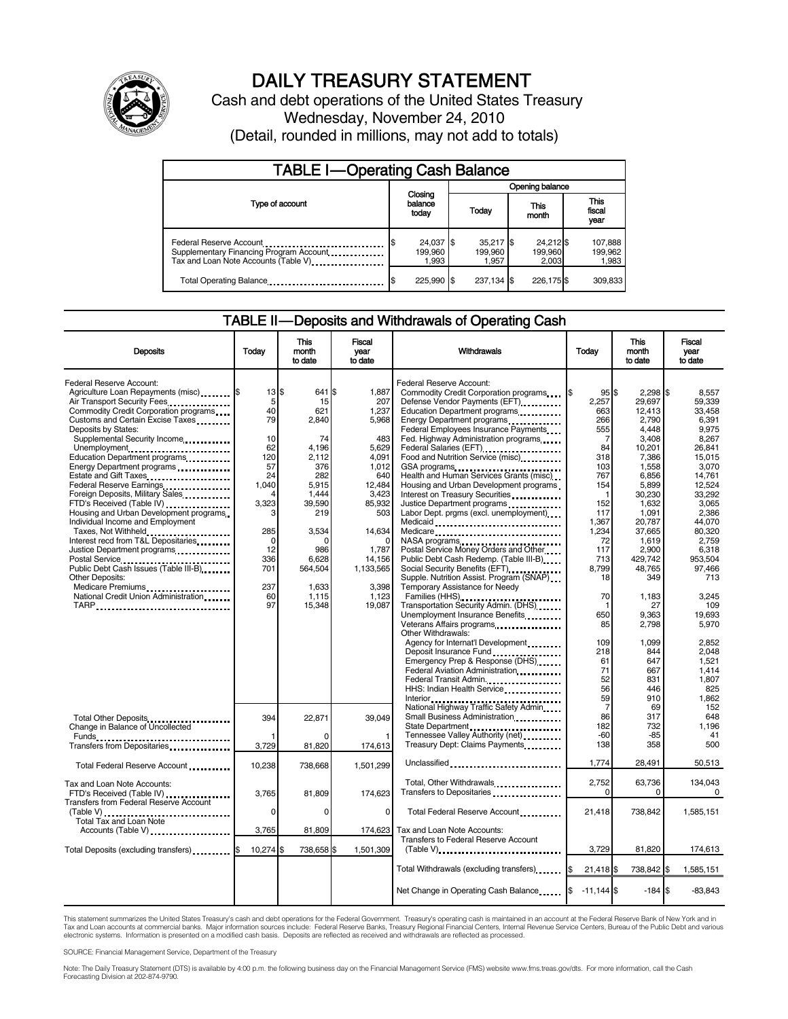

# DAILY TREASURY STATEMENT

Cash and debt operations of the United States Treasury Wednesday, November 24, 2010 (Detail, rounded in millions, may not add to totals)

| <b>TABLE I-Operating Cash Balance</b>                                                                       |                               |                                 |                               |                               |  |  |  |  |
|-------------------------------------------------------------------------------------------------------------|-------------------------------|---------------------------------|-------------------------------|-------------------------------|--|--|--|--|
|                                                                                                             |                               |                                 | Opening balance               |                               |  |  |  |  |
| Type of account                                                                                             | Closing<br>balance<br>today   | Today                           | This<br>month                 | <b>This</b><br>fiscal<br>year |  |  |  |  |
| Federal Reserve Account<br>Supplementary Financing Program Account<br>Tax and Loan Note Accounts (Table V). | 24,037 \$<br>199.960<br>1.993 | $35,217$ \$<br>199.960<br>1,957 | 24,212 \$<br>199,960<br>2.003 | 107,888<br>199,962<br>1,983   |  |  |  |  |
| Total Operating Balance                                                                                     | 225,990 \$                    | 237,134 \$                      | 226,175 \$                    | 309,833                       |  |  |  |  |

#### TABLE II — Deposits and Withdrawals of Operating Cash

| <b>Deposits</b>                                                                                         | Today     | This<br>month<br>to date | <b>Fiscal</b><br>year<br>to date | Withdrawals                                                        | Todav              | <b>This</b><br>month<br>to date | Fiscal<br>year<br>to date |
|---------------------------------------------------------------------------------------------------------|-----------|--------------------------|----------------------------------|--------------------------------------------------------------------|--------------------|---------------------------------|---------------------------|
|                                                                                                         |           |                          |                                  |                                                                    |                    |                                 |                           |
| Federal Reserve Account:                                                                                |           |                          |                                  | Federal Reserve Account:                                           |                    |                                 |                           |
| Agriculture Loan Repayments (misc)                                                                      | 13S       | 641 \$                   | 1,887                            | Commodity Credit Corporation programs                              | 95S                | $2,298$ \$                      | 8,557                     |
| Air Transport Security Fees                                                                             | 5<br>40   | 15<br>621                | 207<br>1,237                     | Defense Vendor Payments (EFT)                                      | 2,257<br>663       | 29,697                          | 59.339                    |
| Commodity Credit Corporation programs<br>Customs and Certain Excise Taxes                               | 79        | 2,840                    | 5,968                            | Education Department programs                                      | 266                | 12,413<br>2,790                 | 33,458<br>6.391           |
| Deposits by States:                                                                                     |           |                          |                                  | Energy Department programs<br>Federal Employees Insurance Payments | 555                | 4,448                           | 9,975                     |
| Supplemental Security Income                                                                            | 10        | 74                       | 483                              | Fed. Highway Administration programs                               | 7                  | 3.408                           | 8.267                     |
| Unemployment                                                                                            | 62        | 4.196                    | 5.629                            |                                                                    | 84                 | 10,201                          | 26.841                    |
| Education Department programs                                                                           | 120       | 2.112                    | 4,091                            | Food and Nutrition Service (misc).                                 | 318                | 7,386                           | 15.015                    |
| Energy Department programs                                                                              | 57        | 376                      | 1.012                            | GSA programs                                                       | 103                | 1,558                           | 3.070                     |
|                                                                                                         | 24        | 282                      | 640                              | Health and Human Services Grants (misc)                            | 767                | 6.856                           | 14.761                    |
| Federal Reserve Earnings                                                                                | 1,040     | 5,915                    | 12,484                           | Housing and Urban Development programs                             | 154                | 5,899                           | 12.524                    |
| Foreign Deposits, Military Sales                                                                        |           | 1,444                    | 3,423                            | Interest on Treasury Securities                                    |                    | 30,230                          | 33,292                    |
| FTD's Received (Table IV)                                                                               | 3,323     | 39,590                   | 85,932                           | Justice Department programs                                        | 152                | 1,632                           | 3,065                     |
| Housing and Urban Development programs                                                                  |           | 219                      | 503                              | Labor Dept. prgms (excl. unemployment)                             | 117                | 1,091                           | 2,386                     |
| Individual Income and Employment                                                                        |           |                          |                                  | Medicaid                                                           | 1,367              | 20,787                          | 44.070                    |
| Taxes, Not Withheld                                                                                     | 285       | 3,534                    | 14,634                           | Medicare                                                           | 1,234              | 37,665                          | 80.320                    |
| Interest recd from T&L Depositaries                                                                     | 0         | C                        |                                  |                                                                    | 72                 | 1,619                           | 2,759                     |
| Justice Department programs                                                                             | 12        | 986                      | 1,787                            | Postal Service Money Orders and Other                              | 117                | 2,900                           | 6,318                     |
| Postal Service<br>Public Debt Cash Issues (Table III-B)<br>1999 - Public Debt Cash Issues (Table III-B) | 336       | 6.628                    | 14,156                           | Public Debt Cash Redemp. (Table III-B)                             | 713                | 429.742                         | 953.504                   |
|                                                                                                         | 701       | 564,504                  | 1,133,565                        |                                                                    | 8.799              | 48.765                          | 97.466                    |
| <b>Other Deposits:</b>                                                                                  |           |                          |                                  | Supple. Nutrition Assist. Program (SNAP)                           | 18                 | 349                             | 713                       |
| Medicare Premiums<br>National Credit Union Administration                                               | 237       | 1.633                    | 3.398                            | Temporary Assistance for Needy                                     |                    |                                 |                           |
|                                                                                                         | 60        | 1,115                    | 1,123                            | Families (HHS)                                                     | 70                 | 1,183                           | 3.245                     |
| TARP                                                                                                    | 97        | 15,348                   | 19,087                           | Transportation Security Admin. (DHS)                               | 1<br>650           | 27                              | 109<br>19.693             |
|                                                                                                         |           |                          |                                  | Unemployment Insurance Benefits                                    |                    | 9,363                           |                           |
|                                                                                                         |           |                          |                                  | Veterans Affairs programs<br>Other Withdrawals:                    | 85                 | 2,798                           | 5,970                     |
|                                                                                                         |           |                          |                                  | Agency for Internat'l Development                                  | 109                | 1,099                           | 2,852                     |
|                                                                                                         |           |                          |                                  | Deposit Insurance Fund                                             | 218                | 844                             | 2,048                     |
|                                                                                                         |           |                          |                                  | Emergency Prep & Response (DHS)                                    | 61                 | 647                             | 1,521                     |
|                                                                                                         |           |                          |                                  | Federal Aviation Administration                                    | 71                 | 667                             | 1.414                     |
|                                                                                                         |           |                          |                                  | Federal Transit Admin.                                             | 52                 | 831                             | 1.807                     |
|                                                                                                         |           |                          |                                  | HHS: Indian Health Service                                         | 56                 | 446                             | 825                       |
|                                                                                                         |           |                          |                                  |                                                                    | 59                 | 910                             | 1.862                     |
|                                                                                                         |           |                          |                                  | National Highway Traffic Safety Admin                              | $\overline{7}$     | 69                              | 152                       |
|                                                                                                         | 394       | 22,871                   | 39.049                           | Small Business Administration                                      | 86                 | 317                             | 648                       |
| Total Other Deposits<br>Change in Balance of Uncollected                                                |           |                          |                                  | State Department                                                   | 182                | 732                             | 1,196                     |
|                                                                                                         |           |                          |                                  | Tennessee Valley Authority (net)                                   | $-60$              | $-85$                           | 41                        |
| Funds<br>Transfers from Depositaries                                                                    | 3,729     | 81,820                   | 174,613                          | Treasury Dept: Claims Payments                                     | 138                | 358                             | 500                       |
|                                                                                                         |           |                          |                                  |                                                                    |                    |                                 |                           |
| Total Federal Reserve Account                                                                           | 10,238    | 738,668                  | 1,501,299                        | Unclassified                                                       | 1,774              | 28,491                          | 50,513                    |
|                                                                                                         |           |                          |                                  |                                                                    |                    |                                 |                           |
| Tax and Loan Note Accounts:                                                                             |           |                          |                                  | Total, Other Withdrawals                                           | 2,752              | 63,736                          | 134,043                   |
| FTD's Received (Table IV)                                                                               | 3.765     | 81.809                   | 174,623                          | Transfers to Depositaries                                          | $\Omega$           | $\Omega$                        | $\Omega$                  |
| <b>Transfers from Federal Reserve Account</b>                                                           |           |                          |                                  |                                                                    |                    |                                 |                           |
| $(Table V)$                                                                                             | 0         | $\Omega$                 | 0                                | Total Federal Reserve Account                                      | 21.418             | 738.842                         | 1.585.151                 |
| <b>Total Tax and Loan Note</b>                                                                          | 3,765     | 81,809                   | 174,623                          | Tax and Loan Note Accounts:                                        |                    |                                 |                           |
| Accounts (Table V)                                                                                      |           |                          |                                  | Transfers to Federal Reserve Account                               |                    |                                 |                           |
| Total Deposits (excluding transfers)                                                                    | 10,274 \$ | 738,658 \$               | 1,501,309                        | $(Table V)$ ,                                                      | 3,729              | 81,820                          | 174,613                   |
|                                                                                                         |           |                          |                                  |                                                                    |                    |                                 |                           |
|                                                                                                         |           |                          |                                  | Total Withdrawals (excluding transfers)                            | $21,418$ \$<br>1\$ | 738,842 \$                      | 1,585,151                 |
|                                                                                                         |           |                          |                                  |                                                                    |                    |                                 |                           |
|                                                                                                         |           |                          |                                  | Net Change in Operating Cash Balance                               | $-11,144$ \$       | $-184S$                         | $-83,843$                 |
|                                                                                                         |           |                          |                                  |                                                                    |                    |                                 |                           |

This statement summarizes the United States Treasury's cash and debt operations for the Federal Government. Treasury's operating cash is maintained in an account at the Federal Reserve Bank of New York and in<br>Tax and Loan

SOURCE: Financial Management Service, Department of the Treasury

Note: The Daily Treasury Statement (DTS) is available by 4:00 p.m. the following business day on the Financial Management Service (FMS) website www.fms.treas.gov/dts. For more information, call the Cash Forecasting Division at 202-874-9790.